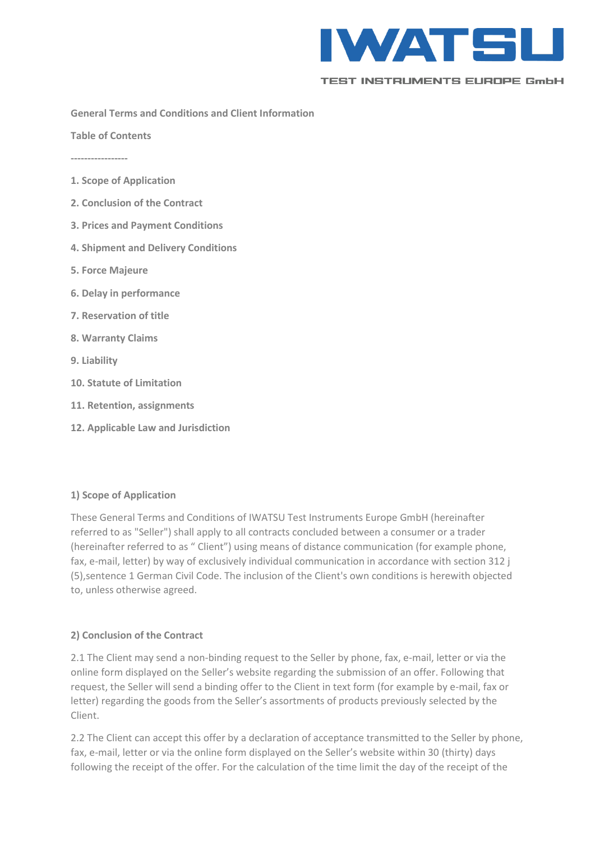

**General Terms and Conditions and Client Information**

**Table of Contents**

**-----------------**

- **1. Scope of Application**
- **2. Conclusion of the Contract**
- **3. Prices and Payment Conditions**
- **4. Shipment and Delivery Conditions**
- **5. Force Majeure**
- **6. Delay in performance**
- **7. Reservation of title**
- **8. Warranty Claims**
- **9. Liability**
- **10. Statute of Limitation**
- **11. Retention, assignments**
- **12. Applicable Law and Jurisdiction**

### **1) Scope of Application**

These General Terms and Conditions of IWATSU Test Instruments Europe GmbH (hereinafter referred to as "Seller") shall apply to all contracts concluded between a consumer or a trader (hereinafter referred to as " Client") using means of distance communication (for example phone, fax, e-mail, letter) by way of exclusively individual communication in accordance with section 312 j (5),sentence 1 German Civil Code. The inclusion of the Client's own conditions is herewith objected to, unless otherwise agreed.

### **2) Conclusion of the Contract**

2.1 The Client may send a non-binding request to the Seller by phone, fax, e-mail, letter or via the online form displayed on the Seller's website regarding the submission of an offer. Following that request, the Seller will send a binding offer to the Client in text form (for example by e-mail, fax or letter) regarding the goods from the Seller's assortments of products previously selected by the Client.

2.2 The Client can accept this offer by a declaration of acceptance transmitted to the Seller by phone, fax, e-mail, letter or via the online form displayed on the Seller's website within 30 (thirty) days following the receipt of the offer. For the calculation of the time limit the day of the receipt of the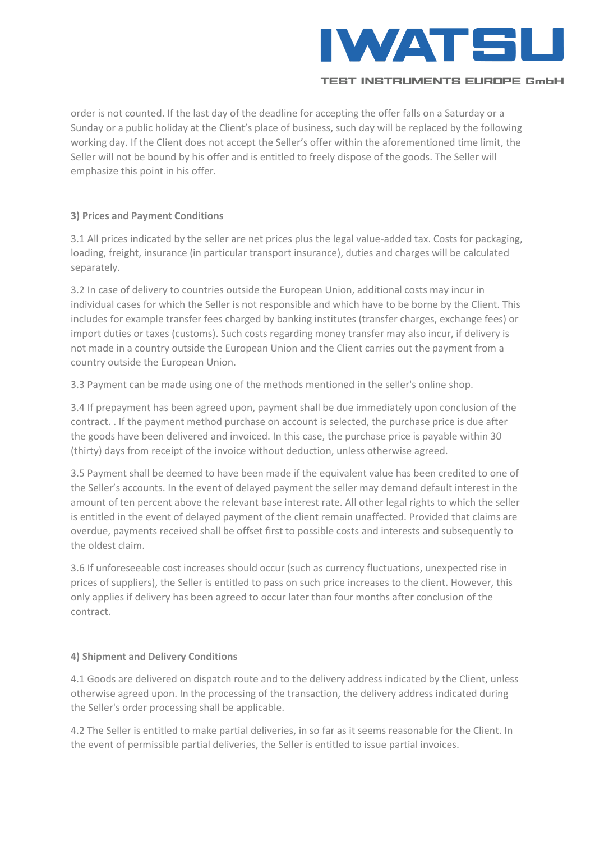

order is not counted. If the last day of the deadline for accepting the offer falls on a Saturday or a Sunday or a public holiday at the Client's place of business, such day will be replaced by the following working day. If the Client does not accept the Seller's offer within the aforementioned time limit, the Seller will not be bound by his offer and is entitled to freely dispose of the goods. The Seller will emphasize this point in his offer.

## **3) Prices and Payment Conditions**

3.1 All prices indicated by the seller are net prices plus the legal value-added tax. Costs for packaging, loading, freight, insurance (in particular transport insurance), duties and charges will be calculated separately.

3.2 In case of delivery to countries outside the European Union, additional costs may incur in individual cases for which the Seller is not responsible and which have to be borne by the Client. This includes for example transfer fees charged by banking institutes (transfer charges, exchange fees) or import duties or taxes (customs). Such costs regarding money transfer may also incur, if delivery is not made in a country outside the European Union and the Client carries out the payment from a country outside the European Union.

3.3 Payment can be made using one of the methods mentioned in the seller's online shop.

3.4 If prepayment has been agreed upon, payment shall be due immediately upon conclusion of the contract. . If the payment method purchase on account is selected, the purchase price is due after the goods have been delivered and invoiced. In this case, the purchase price is payable within 30 (thirty) days from receipt of the invoice without deduction, unless otherwise agreed.

3.5 Payment shall be deemed to have been made if the equivalent value has been credited to one of the Seller's accounts. In the event of delayed payment the seller may demand default interest in the amount of ten percent above the relevant base interest rate. All other legal rights to which the seller is entitled in the event of delayed payment of the client remain unaffected. Provided that claims are overdue, payments received shall be offset first to possible costs and interests and subsequently to the oldest claim.

3.6 If unforeseeable cost increases should occur (such as currency fluctuations, unexpected rise in prices of suppliers), the Seller is entitled to pass on such price increases to the client. However, this only applies if delivery has been agreed to occur later than four months after conclusion of the contract.

# **4) Shipment and Delivery Conditions**

4.1 Goods are delivered on dispatch route and to the delivery address indicated by the Client, unless otherwise agreed upon. In the processing of the transaction, the delivery address indicated during the Seller's order processing shall be applicable.

4.2 The Seller is entitled to make partial deliveries, in so far as it seems reasonable for the Client. In the event of permissible partial deliveries, the Seller is entitled to issue partial invoices.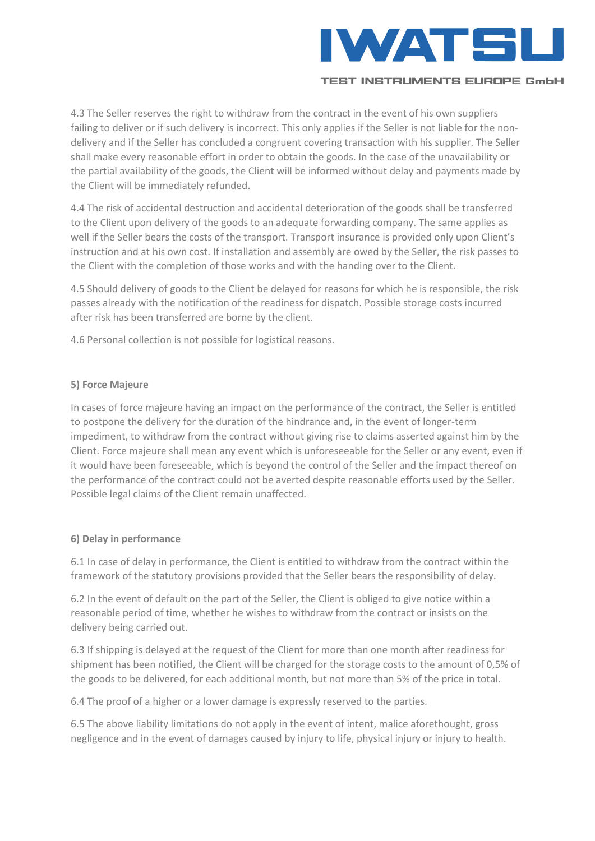

4.3 The Seller reserves the right to withdraw from the contract in the event of his own suppliers failing to deliver or if such delivery is incorrect. This only applies if the Seller is not liable for the nondelivery and if the Seller has concluded a congruent covering transaction with his supplier. The Seller shall make every reasonable effort in order to obtain the goods. In the case of the unavailability or the partial availability of the goods, the Client will be informed without delay and payments made by the Client will be immediately refunded.

4.4 The risk of accidental destruction and accidental deterioration of the goods shall be transferred to the Client upon delivery of the goods to an adequate forwarding company. The same applies as well if the Seller bears the costs of the transport. Transport insurance is provided only upon Client's instruction and at his own cost. If installation and assembly are owed by the Seller, the risk passes to the Client with the completion of those works and with the handing over to the Client.

4.5 Should delivery of goods to the Client be delayed for reasons for which he is responsible, the risk passes already with the notification of the readiness for dispatch. Possible storage costs incurred after risk has been transferred are borne by the client.

4.6 Personal collection is not possible for logistical reasons.

## **5) Force Majeure**

In cases of force majeure having an impact on the performance of the contract, the Seller is entitled to postpone the delivery for the duration of the hindrance and, in the event of longer-term impediment, to withdraw from the contract without giving rise to claims asserted against him by the Client. Force majeure shall mean any event which is unforeseeable for the Seller or any event, even if it would have been foreseeable, which is beyond the control of the Seller and the impact thereof on the performance of the contract could not be averted despite reasonable efforts used by the Seller. Possible legal claims of the Client remain unaffected.

### **6) Delay in performance**

6.1 In case of delay in performance, the Client is entitled to withdraw from the contract within the framework of the statutory provisions provided that the Seller bears the responsibility of delay.

6.2 In the event of default on the part of the Seller, the Client is obliged to give notice within a reasonable period of time, whether he wishes to withdraw from the contract or insists on the delivery being carried out.

6.3 If shipping is delayed at the request of the Client for more than one month after readiness for shipment has been notified, the Client will be charged for the storage costs to the amount of 0,5% of the goods to be delivered, for each additional month, but not more than 5% of the price in total.

6.4 The proof of a higher or a lower damage is expressly reserved to the parties.

6.5 The above liability limitations do not apply in the event of intent, malice aforethought, gross negligence and in the event of damages caused by injury to life, physical injury or injury to health.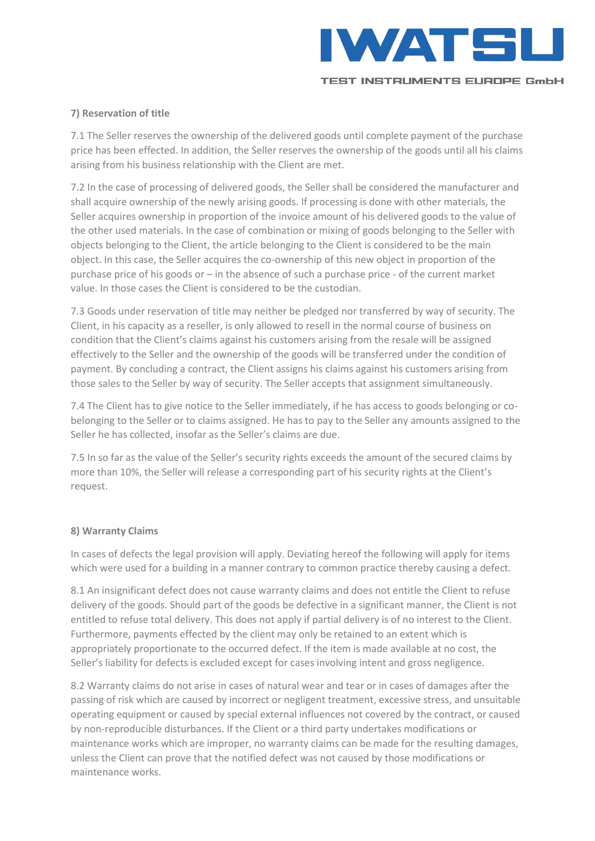

## **7) Reservation of title**

7.1 The Seller reserves the ownership of the delivered goods until complete payment of the purchase price has been effected. In addition, the Seller reserves the ownership of the goods until all his claims arising from his business relationship with the Client are met.

7.2 In the case of processing of delivered goods, the Seller shall be considered the manufacturer and shall acquire ownership of the newly arising goods. If processing is done with other materials, the Seller acquires ownership in proportion of the invoice amount of his delivered goods to the value of the other used materials. In the case of combination or mixing of goods belonging to the Seller with objects belonging to the Client, the article belonging to the Client is considered to be the main object. In this case, the Seller acquires the co-ownership of this new object in proportion of the purchase price of his goods or – in the absence of such a purchase price - of the current market value. In those cases the Client is considered to be the custodian.

7.3 Goods under reservation of title may neither be pledged nor transferred by way of security. The Client, in his capacity as a reseller, is only allowed to resell in the normal course of business on condition that the Client's claims against his customers arising from the resale will be assigned effectively to the Seller and the ownership of the goods will be transferred under the condition of payment. By concluding a contract, the Client assigns his claims against his customers arising from those sales to the Seller by way of security. The Seller accepts that assignment simultaneously.

7.4 The Client has to give notice to the Seller immediately, if he has access to goods belonging or cobelonging to the Seller or to claims assigned. He has to pay to the Seller any amounts assigned to the Seller he has collected, insofar as the Seller's claims are due.

7.5 In so far as the value of the Seller's security rights exceeds the amount of the secured claims by more than 10%, the Seller will release a corresponding part of his security rights at the Client's request.

### **8) Warranty Claims**

In cases of defects the legal provision will apply. Deviating hereof the following will apply for items which were used for a building in a manner contrary to common practice thereby causing a defect.

8.1 An insignificant defect does not cause warranty claims and does not entitle the Client to refuse delivery of the goods. Should part of the goods be defective in a significant manner, the Client is not entitled to refuse total delivery. This does not apply if partial delivery is of no interest to the Client. Furthermore, payments effected by the client may only be retained to an extent which is appropriately proportionate to the occurred defect. If the item is made available at no cost, the Seller's liability for defects is excluded except for cases involving intent and gross negligence.

8.2 Warranty claims do not arise in cases of natural wear and tear or in cases of damages after the passing of risk which are caused by incorrect or negligent treatment, excessive stress, and unsuitable operating equipment or caused by special external influences not covered by the contract, or caused by non-reproducible disturbances. If the Client or a third party undertakes modifications or maintenance works which are improper, no warranty claims can be made for the resulting damages, unless the Client can prove that the notified defect was not caused by those modifications or maintenance works.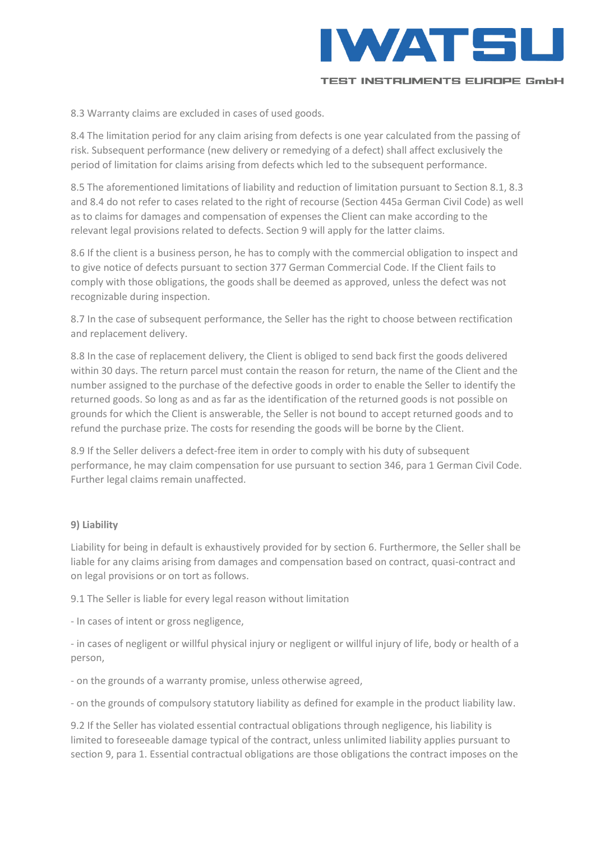

8.3 Warranty claims are excluded in cases of used goods.

8.4 The limitation period for any claim arising from defects is one year calculated from the passing of risk. Subsequent performance (new delivery or remedying of a defect) shall affect exclusively the period of limitation for claims arising from defects which led to the subsequent performance.

8.5 The aforementioned limitations of liability and reduction of limitation pursuant to Section 8.1, 8.3 and 8.4 do not refer to cases related to the right of recourse (Section 445a German Civil Code) as well as to claims for damages and compensation of expenses the Client can make according to the relevant legal provisions related to defects. Section 9 will apply for the latter claims.

8.6 If the client is a business person, he has to comply with the commercial obligation to inspect and to give notice of defects pursuant to section 377 German Commercial Code. If the Client fails to comply with those obligations, the goods shall be deemed as approved, unless the defect was not recognizable during inspection.

8.7 In the case of subsequent performance, the Seller has the right to choose between rectification and replacement delivery.

8.8 In the case of replacement delivery, the Client is obliged to send back first the goods delivered within 30 days. The return parcel must contain the reason for return, the name of the Client and the number assigned to the purchase of the defective goods in order to enable the Seller to identify the returned goods. So long as and as far as the identification of the returned goods is not possible on grounds for which the Client is answerable, the Seller is not bound to accept returned goods and to refund the purchase prize. The costs for resending the goods will be borne by the Client.

8.9 If the Seller delivers a defect-free item in order to comply with his duty of subsequent performance, he may claim compensation for use pursuant to section 346, para 1 German Civil Code. Further legal claims remain unaffected.

#### **9) Liability**

Liability for being in default is exhaustively provided for by section 6. Furthermore, the Seller shall be liable for any claims arising from damages and compensation based on contract, quasi-contract and on legal provisions or on tort as follows.

9.1 The Seller is liable for every legal reason without limitation

- In cases of intent or gross negligence,

- in cases of negligent or willful physical injury or negligent or willful injury of life, body or health of a person,

- on the grounds of a warranty promise, unless otherwise agreed,

- on the grounds of compulsory statutory liability as defined for example in the product liability law.

9.2 If the Seller has violated essential contractual obligations through negligence, his liability is limited to foreseeable damage typical of the contract, unless unlimited liability applies pursuant to section 9, para 1. Essential contractual obligations are those obligations the contract imposes on the